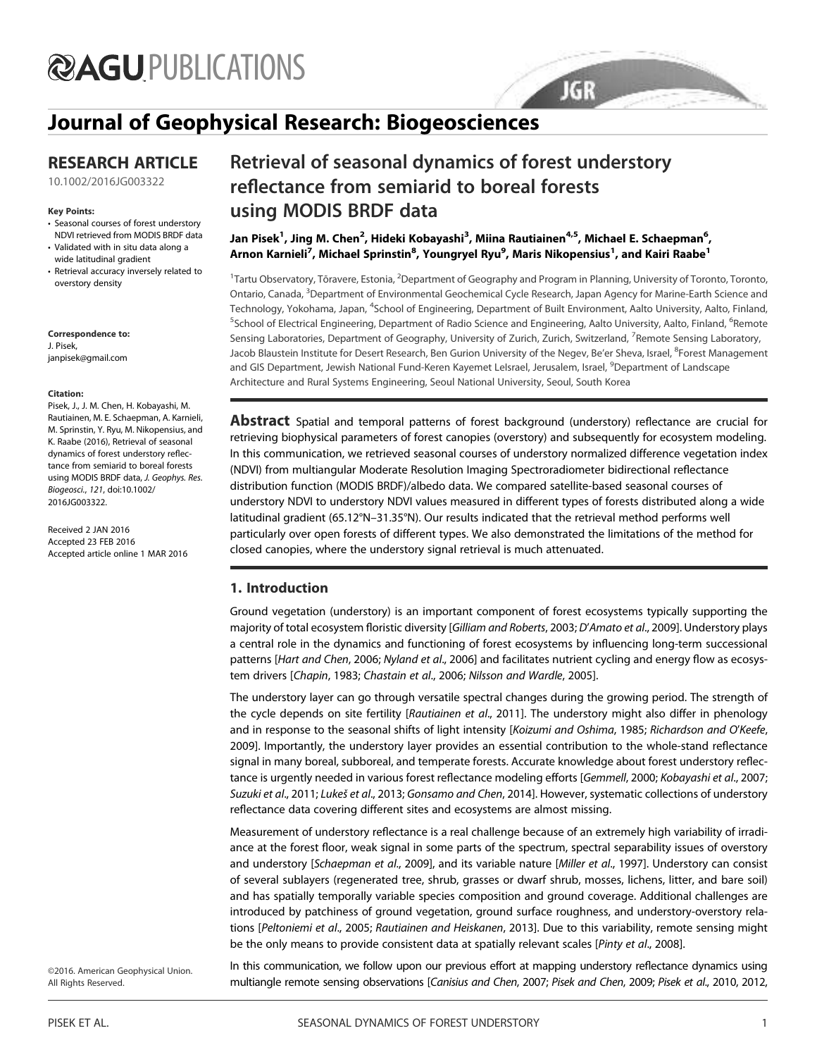# **@AGUPUBLICATIONS**

# Journal of Geophysical Research: Biogeosciences

## RESEARCH ARTICLE

10.1002/2016JG003322

#### Key Points:

- Seasonal courses of forest understory NDVI retrieved from MODIS BRDF data
- Validated with in situ data along a wide latitudinal gradient
- Retrieval accuracy inversely related to overstory density

Correspondence to: J. Pisek, janpisek@gmail.com

#### Citation:

Pisek, J., J. M. Chen, H. Kobayashi, M. Rautiainen, M. E. Schaepman, A. Karnieli, M. Sprinstin, Y. Ryu, M. Nikopensius, and K. Raabe (2016), Retrieval of seasonal dynamics of forest understory reflectance from semiarid to boreal forests using MODIS BRDF data, J. Geophys. Res. Biogeosci., 121, doi:10.1002/ 2016JG003322.

Received 2 JAN 2016 Accepted 23 FEB 2016 Accepted article online 1 MAR 2016

# Retrieval of seasonal dynamics of forest understory reflectance from semiarid to boreal forests using MODIS BRDF data

Jan Pisek<sup>1</sup>, Jing M. Chen<sup>2</sup>, Hideki Kobayashi<sup>3</sup>, Miina Rautiainen<sup>4,5</sup>, Michael E. Schaepman<sup>6</sup>, Arnon Karnieli<sup>7</sup>, Michael Sprinstin<sup>8</sup>, Youngryel Ryu<sup>9</sup>, Maris Nikopensius<sup>1</sup>, and Kairi Raabe<sup>1</sup>

<sup>1</sup>Tartu Observatory, Tõravere, Estonia, <sup>2</sup>Department of Geography and Program in Planning, University of Toronto, Toronto, Ontario, Canada, <sup>3</sup>Department of Environmental Geochemical Cycle Research, Japan Agency for Marine-Earth Science and Technology, Yokohama, Japan, <sup>4</sup>School of Engineering, Department of Built Environment, Aalto University, Aalto, Finland, <sup>5</sup>School of Electrical Engineering, Department of Radio Science and Engineering, Aalto University, Aalto, Finland, <sup>6</sup>Remote Sensing Laboratories, Department of Geography, University of Zurich, Zurich, Switzerland, <sup>7</sup>Remote Sensing Laboratory, Jacob Blaustein Institute for Desert Research, Ben Gurion University of the Negev, Be'er Sheva, Israel, <sup>8</sup>Forest Management and GIS Department, Jewish National Fund-Keren Kayemet LeIsrael, Jerusalem, Israel, <sup>9</sup>Department of Landscape Architecture and Rural Systems Engineering, Seoul National University, Seoul, South Korea

**JGR** 

**Abstract** Spatial and temporal patterns of forest background (understory) reflectance are crucial for retrieving biophysical parameters of forest canopies (overstory) and subsequently for ecosystem modeling. In this communication, we retrieved seasonal courses of understory normalized difference vegetation index (NDVI) from multiangular Moderate Resolution Imaging Spectroradiometer bidirectional reflectance distribution function (MODIS BRDF)/albedo data. We compared satellite-based seasonal courses of understory NDVI to understory NDVI values measured in different types of forests distributed along a wide latitudinal gradient (65.12°N–31.35°N). Our results indicated that the retrieval method performs well particularly over open forests of different types. We also demonstrated the limitations of the method for closed canopies, where the understory signal retrieval is much attenuated.

### 1. Introduction

Ground vegetation (understory) is an important component of forest ecosystems typically supporting the majority of total ecosystem floristic diversity [Gilliam and Roberts, 2003; D'Amato et al., 2009]. Understory plays a central role in the dynamics and functioning of forest ecosystems by influencing long-term successional patterns [Hart and Chen, 2006; Nyland et al., 2006] and facilitates nutrient cycling and energy flow as ecosystem drivers [Chapin, 1983; Chastain et al., 2006; Nilsson and Wardle, 2005].

The understory layer can go through versatile spectral changes during the growing period. The strength of the cycle depends on site fertility [Rautiainen et al., 2011]. The understory might also differ in phenology and in response to the seasonal shifts of light intensity [Koizumi and Oshima, 1985; Richardson and O'Keefe, 2009]. Importantly, the understory layer provides an essential contribution to the whole-stand reflectance signal in many boreal, subboreal, and temperate forests. Accurate knowledge about forest understory reflectance is urgently needed in various forest reflectance modeling efforts [Gemmell, 2000; Kobayashi et al., 2007; Suzuki et al., 2011; Lukeš et al., 2013; Gonsamo and Chen, 2014]. However, systematic collections of understory reflectance data covering different sites and ecosystems are almost missing.

Measurement of understory reflectance is a real challenge because of an extremely high variability of irradiance at the forest floor, weak signal in some parts of the spectrum, spectral separability issues of overstory and understory [Schaepman et al., 2009], and its variable nature [Miller et al., 1997]. Understory can consist of several sublayers (regenerated tree, shrub, grasses or dwarf shrub, mosses, lichens, litter, and bare soil) and has spatially temporally variable species composition and ground coverage. Additional challenges are introduced by patchiness of ground vegetation, ground surface roughness, and understory-overstory relations [Peltoniemi et al., 2005; Rautiainen and Heiskanen, 2013]. Due to this variability, remote sensing might be the only means to provide consistent data at spatially relevant scales [Pinty et al., 2008].

©2016. American Geophysical Union. All Rights Reserved.

In this communication, we follow upon our previous effort at mapping understory reflectance dynamics using multiangle remote sensing observations [Canisius and Chen, 2007; Pisek and Chen, 2009; Pisek et al., 2010, 2012,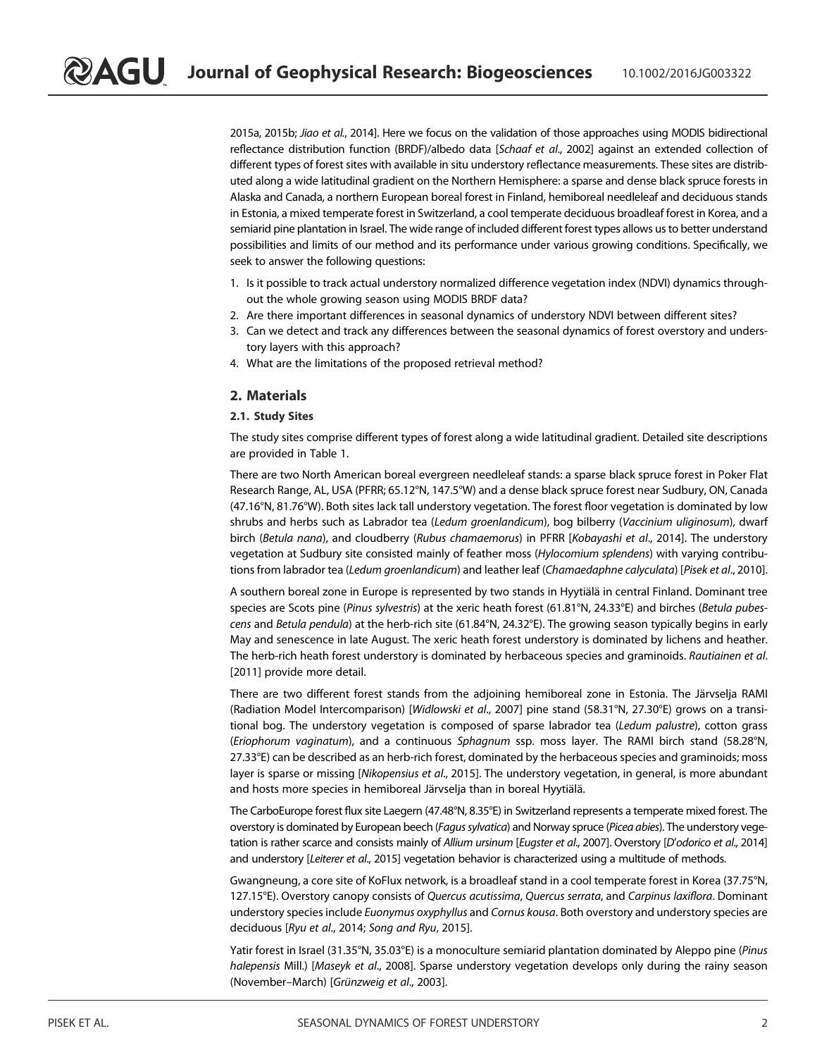2015a, 2015b; Jiao et al., 2014]. Here we focus on the validation of those approaches using MODIS bidirectional reflectance distribution function (BRDF)/albedo data [Schaaf et al., 2002] against an extended collection of different types of forest sites with available in situ understory reflectance measurements. These sites are distributed along a wide latitudinal gradient on the Northern Hemisphere: a sparse and dense black spruce forests in Alaska and Canada, a northern European boreal forest in Finland, hemiboreal needleleaf and deciduous stands in Estonia, a mixed temperate forest in Switzerland, a cool temperate deciduous broadleaf forest in Korea, and a semiarid pine plantation in Israel. The wide range of included different forest types allows us to better understand possibilities and limits of our method and its performance under various growing conditions. Specifically, we seek to answer the following questions:

- 1. Is it possible to track actual understory normalized difference vegetation index (NDVI) dynamics throughout the whole growing season using MODIS BRDF data?
- 2. Are there important differences in seasonal dynamics of understory NDVI between different sites?
- 3. Can we detect and track any differences between the seasonal dynamics of forest overstory and understory layers with this approach?
- 4. What are the limitations of the proposed retrieval method?

#### 2. Materials

#### 2.1. Study Sites

The study sites comprise different types of forest along a wide latitudinal gradient. Detailed site descriptions are provided in Table 1.

There are two North American boreal evergreen needleleaf stands: a sparse black spruce forest in Poker Flat Research Range, AL, USA (PFRR; 65.12°N, 147.5°W) and a dense black spruce forest near Sudbury, ON, Canada (47.16°N, 81.76°W). Both sites lack tall understory vegetation. The forest floor vegetation is dominated by low shrubs and herbs such as Labrador tea (Ledum groenlandicum), bog bilberry (Vaccinium uliginosum), dwarf birch (Betula nana), and cloudberry (Rubus chamaemorus) in PFRR [Kobayashi et al., 2014]. The understory vegetation at Sudbury site consisted mainly of feather moss (Hylocomium splendens) with varying contributions from labrador tea (Ledum groenlandicum) and leather leaf (Chamaedaphne calyculata) [Pisek et al., 2010].

A southern boreal zone in Europe is represented by two stands in Hyytiälä in central Finland. Dominant tree species are Scots pine (Pinus sylvestris) at the xeric heath forest (61.81°N, 24.33°E) and birches (Betula pubescens and Betula pendula) at the herb-rich site (61.84°N, 24.32°E). The growing season typically begins in early May and senescence in late August. The xeric heath forest understory is dominated by lichens and heather. The herb-rich heath forest understory is dominated by herbaceous species and graminoids. Rautiainen et al. [2011] provide more detail.

There are two different forest stands from the adjoining hemiboreal zone in Estonia. The Järvselja RAMI (Radiation Model Intercomparison) [Widlowski et al., 2007] pine stand (58.31°N, 27.30°E) grows on a transitional bog. The understory vegetation is composed of sparse labrador tea (Ledum palustre), cotton grass (Eriophorum vaginatum), and a continuous Sphagnum ssp. moss layer. The RAMI birch stand (58.28°N, 27.33°E) can be described as an herb-rich forest, dominated by the herbaceous species and graminoids; moss layer is sparse or missing [Nikopensius et al., 2015]. The understory vegetation, in general, is more abundant and hosts more species in hemiboreal Järvselja than in boreal Hyytiälä.

The CarboEurope forest flux site Laegern (47.48°N, 8.35°E) in Switzerland represents a temperate mixed forest. The overstory is dominated by European beech (Fagus sylvatica) and Norway spruce (Picea abies). The understory vegetation is rather scarce and consists mainly of Allium ursinum [Eugster et al., 2007]. Overstory [D'odorico et al., 2014] and understory [Leiterer et al., 2015] vegetation behavior is characterized using a multitude of methods.

Gwangneung, a core site of KoFlux network, is a broadleaf stand in a cool temperate forest in Korea (37.75°N, 127.15°E). Overstory canopy consists of Quercus acutissima, Quercus serrata, and Carpinus laxiflora. Dominant understory species include Euonymus oxyphyllus and Cornus kousa. Both overstory and understory species are deciduous [Ryu et al., 2014; Song and Ryu, 2015].

Yatir forest in Israel (31.35°N, 35.03°E) is a monoculture semiarid plantation dominated by Aleppo pine (Pinus halepensis Mill.) [Maseyk et al., 2008]. Sparse understory vegetation develops only during the rainy season (November–March) [Grünzweig et al., 2003].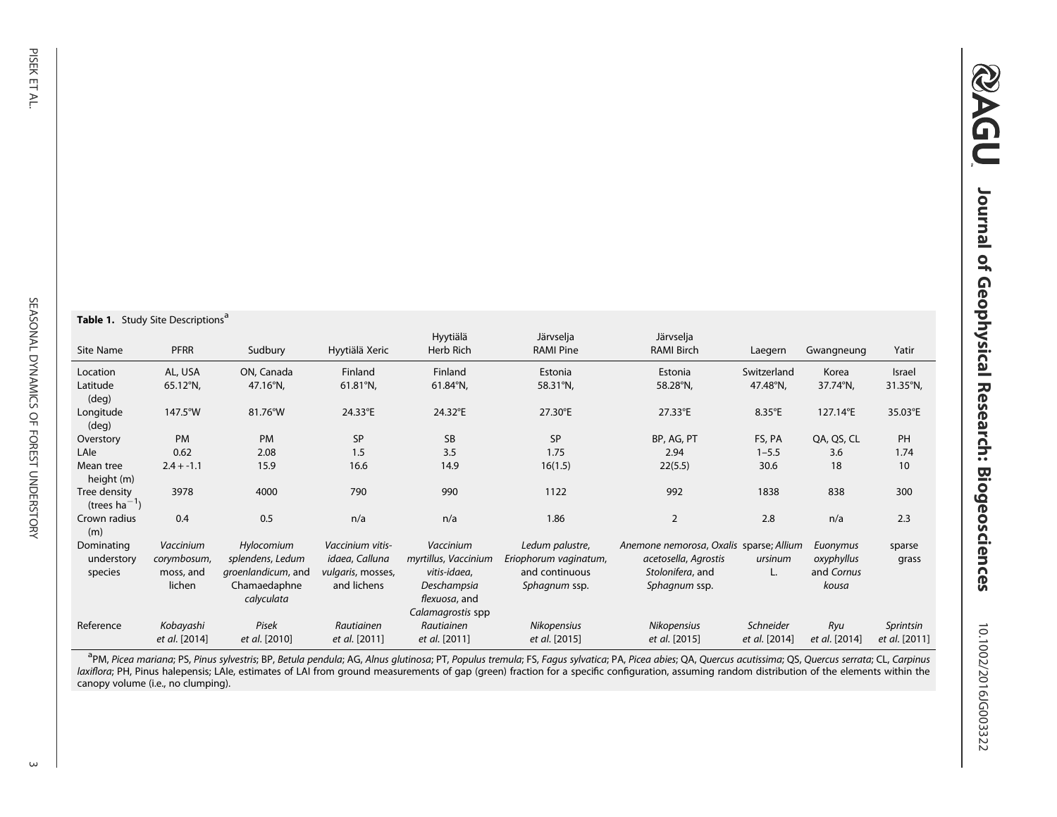#### **Table 1.** Study Site Descriptions<sup>a</sup>

| Site Name                          | <b>PFRR</b>   | Sudbury            | Hyytiälä Xeric     | Hyytiälä<br>Herb Rich | Järvselja<br><b>RAMI Pine</b> | Järvselja<br><b>RAMI Birch</b>          | Laegern         | Gwangneung    | Yatir         |
|------------------------------------|---------------|--------------------|--------------------|-----------------------|-------------------------------|-----------------------------------------|-----------------|---------------|---------------|
| Location                           | AL, USA       | ON, Canada         | Finland            | Finland               | Estonia                       | Estonia                                 | Switzerland     | Korea         | Israel        |
| Latitude<br>$(\text{deg})$         | 65.12°N,      | 47.16°N,           | $61.81^{\circ}$ N, | $61.84^{\circ}$ N,    | 58.31°N,                      | 58.28°N,                                | 47.48°N,        | 37.74°N,      | 31.35°N,      |
| Longitude<br>$(\text{deg})$        | 147.5°W       | 81.76°W            | 24.33°E            | 24.32°E               | 27.30°E                       | 27.33°E                                 | $8.35^{\circ}E$ | 127.14°E      | 35.03°E       |
| Overstory                          | <b>PM</b>     | <b>PM</b>          | SP                 | SB                    | <b>SP</b>                     | BP, AG, PT                              | FS, PA          | QA, QS, CL    | PH            |
| LAIe                               | 0.62          | 2.08               | 1.5                | 3.5                   | 1.75                          | 2.94                                    | $1 - 5.5$       | 3.6           | 1.74          |
| Mean tree<br>height (m)            | $2.4 + -1.1$  | 15.9               | 16.6               | 14.9                  | 16(1.5)                       | 22(5.5)                                 | 30.6            | 18            | 10            |
| Tree density<br>(trees $ha^{-1}$ ) | 3978          | 4000               | 790                | 990                   | 1122                          | 992                                     | 1838            | 838           | 300           |
| Crown radius<br>(m)                | 0.4           | 0.5                | n/a                | n/a                   | 1.86                          | $\overline{2}$                          | 2.8             | n/a           | 2.3           |
| Dominating                         | Vaccinium     | Hylocomium         | Vaccinium vitis-   | Vaccinium             | Ledum palustre,               | Anemone nemorosa, Oxalis sparse; Allium |                 | Euonymus      | sparse        |
| understory                         | corymbosum,   | splendens, Ledum   | idaea, Calluna     | myrtillus, Vaccinium  | Eriophorum vaginatum,         | acetosella, Agrostis                    | ursinum         | oxyphyllus    | grass         |
| species                            | moss, and     | groenlandicum, and | vulgaris, mosses,  | vitis-idaea,          | and continuous                | Stolonifera, and                        | L.              | and Cornus    |               |
|                                    | lichen        | Chamaedaphne       | and lichens        | Deschampsia           | Sphagnum ssp.                 | Sphagnum ssp.                           |                 | kousa         |               |
|                                    |               | calyculata         |                    | flexuosa, and         |                               |                                         |                 |               |               |
|                                    |               |                    |                    | Calamagrostis spp     |                               |                                         |                 |               |               |
| Reference                          | Kobayashi     | Pisek              | Rautiainen         | Rautiainen            | Nikopensius                   | Nikopensius                             | Schneider       | Ryu           | Sprintsin     |
|                                    | et al. [2014] | et al. [2010]      | et al. [2011]      | et al. [2011]         | et al. [2015]                 | et al. [2015]                           | et al. [2014]   | et al. [2014] | et al. [2011] |

<sup>a</sup>PM, Picea mariana; PS, Pinus sylvestris; BP, Betula pendula; AG, Alnus glutinosa; PT, Populus tremula; FS, Fagus sylvatica; PA, Picea abies; QA, Quercus acutissima; QS, Quercus serrata; CL, Carpinus laxiflora; PH, Pinus halepensis; LAIe, estimates of LAI from ground measurements of gap (green) fraction for a specific configuration, assuming random distribution of the elements within the canopy volume (i.e., no clumping).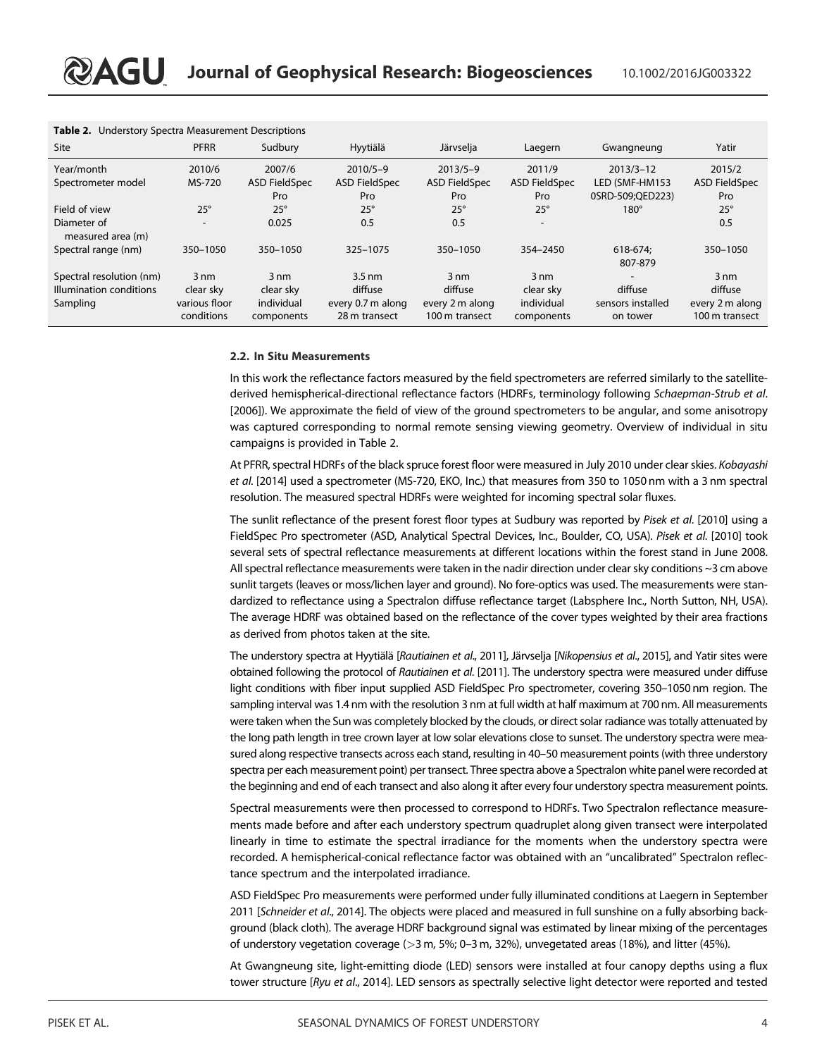| Table 2. Understory Spectra Measurement Descriptions |                             |                          |                                    |                                   |                          |                               |                                   |
|------------------------------------------------------|-----------------------------|--------------------------|------------------------------------|-----------------------------------|--------------------------|-------------------------------|-----------------------------------|
| Site                                                 | <b>PFRR</b>                 | Sudbury                  | Hyytiälä                           | Järvselja                         | Laegern                  | Gwangneung                    | Yatir                             |
| Year/month                                           | 2010/6                      | 2007/6                   | $2010/5 - 9$                       | $2013/5 - 9$                      | 2011/9                   | $2013/3 - 12$                 | 2015/2                            |
| Spectrometer model                                   | MS-720                      | <b>ASD FieldSpec</b>     | <b>ASD FieldSpec</b>               | <b>ASD FieldSpec</b>              | <b>ASD FieldSpec</b>     | LED (SMF-HM153                | <b>ASD FieldSpec</b>              |
|                                                      |                             | Pro                      | <b>Pro</b>                         | Pro                               | Pro                      | 0SRD-509;QED223)              | Pro                               |
| Field of view                                        | $25^\circ$                  | $25^\circ$               | $25^\circ$                         | $25^\circ$                        | $25^\circ$               | $180^\circ$                   | $25^\circ$                        |
| Diameter of<br>measured area (m)                     | $\overline{\phantom{0}}$    | 0.025                    | 0.5                                | 0.5                               | $\overline{\phantom{0}}$ |                               | 0.5                               |
| Spectral range (nm)                                  | 350-1050                    | 350-1050                 | 325-1075                           | 350-1050                          | 354-2450                 | 618-674:<br>807-879           | 350-1050                          |
| Spectral resolution (nm)                             | $3 \text{ nm}$              | $3 \text{ nm}$           | $3.5 \text{ nm}$                   | $3 \text{ nm}$                    | $3 \text{ nm}$           | $\overline{\phantom{a}}$      | $3 \text{ nm}$                    |
| Illumination conditions                              | clear sky                   | clear sky                | diffuse                            | diffuse                           | clear sky                | diffuse                       | diffuse                           |
| Sampling                                             | various floor<br>conditions | individual<br>components | every 0.7 m along<br>28 m transect | every 2 m along<br>100 m transect | individual<br>components | sensors installed<br>on tower | every 2 m along<br>100 m transect |

#### 2.2. In Situ Measurements

In this work the reflectance factors measured by the field spectrometers are referred similarly to the satellitederived hemispherical-directional reflectance factors (HDRFs, terminology following Schaepman-Strub et al. [2006]). We approximate the field of view of the ground spectrometers to be angular, and some anisotropy was captured corresponding to normal remote sensing viewing geometry. Overview of individual in situ campaigns is provided in Table 2.

At PFRR, spectral HDRFs of the black spruce forest floor were measured in July 2010 under clear skies. Kobayashi et al. [2014] used a spectrometer (MS-720, EKO, Inc.) that measures from 350 to 1050 nm with a 3 nm spectral resolution. The measured spectral HDRFs were weighted for incoming spectral solar fluxes.

The sunlit reflectance of the present forest floor types at Sudbury was reported by Pisek et al. [2010] using a FieldSpec Pro spectrometer (ASD, Analytical Spectral Devices, Inc., Boulder, CO, USA). Pisek et al. [2010] took several sets of spectral reflectance measurements at different locations within the forest stand in June 2008. All spectral reflectance measurements were taken in the nadir direction under clear sky conditions ~3 cm above sunlit targets (leaves or moss/lichen layer and ground). No fore-optics was used. The measurements were standardized to reflectance using a Spectralon diffuse reflectance target (Labsphere Inc., North Sutton, NH, USA). The average HDRF was obtained based on the reflectance of the cover types weighted by their area fractions as derived from photos taken at the site.

The understory spectra at Hyytiälä [Rautiainen et al., 2011], Järvselja [Nikopensius et al., 2015], and Yatir sites were obtained following the protocol of Rautiainen et al. [2011]. The understory spectra were measured under diffuse light conditions with fiber input supplied ASD FieldSpec Pro spectrometer, covering 350–1050 nm region. The sampling interval was 1.4 nm with the resolution 3 nm at full width at half maximum at 700 nm. All measurements were taken when the Sun was completely blocked by the clouds, or direct solar radiance was totally attenuated by the long path length in tree crown layer at low solar elevations close to sunset. The understory spectra were measured along respective transects across each stand, resulting in 40–50 measurement points (with three understory spectra per each measurement point) per transect. Three spectra above a Spectralon white panel were recorded at the beginning and end of each transect and also along it after every four understory spectra measurement points.

Spectral measurements were then processed to correspond to HDRFs. Two Spectralon reflectance measurements made before and after each understory spectrum quadruplet along given transect were interpolated linearly in time to estimate the spectral irradiance for the moments when the understory spectra were recorded. A hemispherical-conical reflectance factor was obtained with an "uncalibrated" Spectralon reflectance spectrum and the interpolated irradiance.

ASD FieldSpec Pro measurements were performed under fully illuminated conditions at Laegern in September 2011 [Schneider et al., 2014]. The objects were placed and measured in full sunshine on a fully absorbing background (black cloth). The average HDRF background signal was estimated by linear mixing of the percentages of understory vegetation coverage (>3 m, 5%; 0–3 m, 32%), unvegetated areas (18%), and litter (45%).

At Gwangneung site, light-emitting diode (LED) sensors were installed at four canopy depths using a flux tower structure [Ryu et al., 2014]. LED sensors as spectrally selective light detector were reported and tested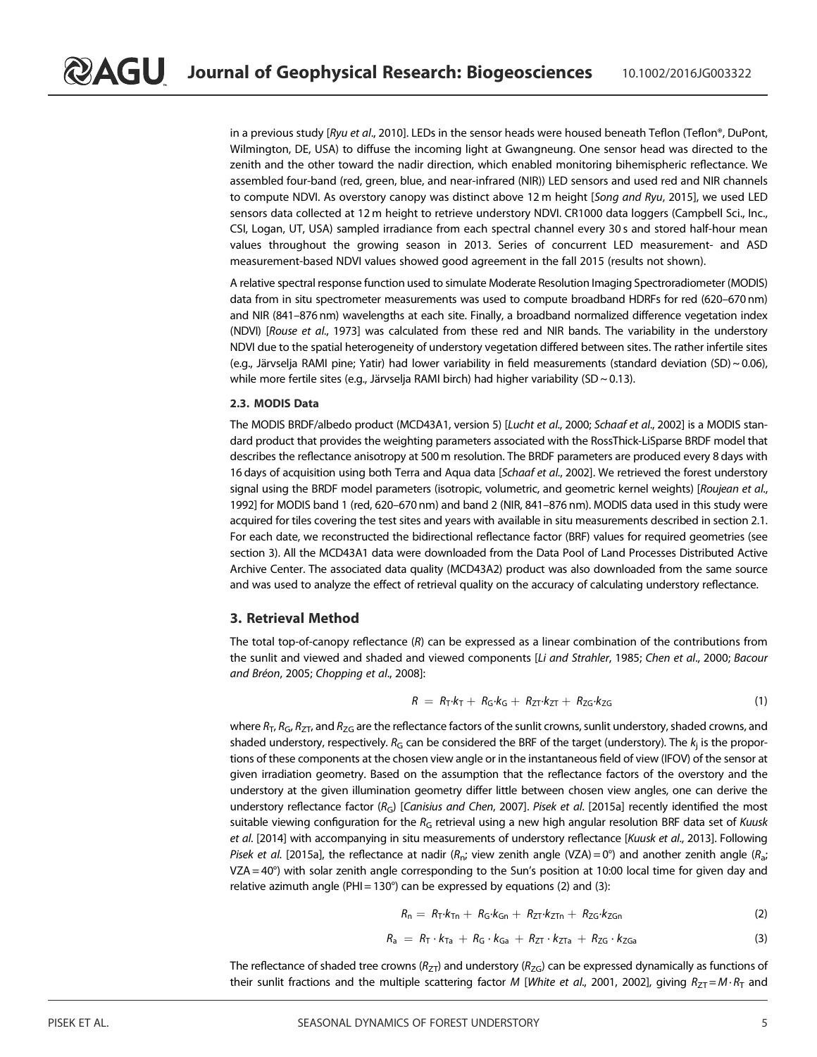in a previous study [Ryu et al., 2010]. LEDs in the sensor heads were housed beneath Teflon (Teflon®, DuPont, Wilmington, DE, USA) to diffuse the incoming light at Gwangneung. One sensor head was directed to the zenith and the other toward the nadir direction, which enabled monitoring bihemispheric reflectance. We assembled four-band (red, green, blue, and near-infrared (NIR)) LED sensors and used red and NIR channels to compute NDVI. As overstory canopy was distinct above 12 m height [Song and Ryu, 2015], we used LED sensors data collected at 12 m height to retrieve understory NDVI. CR1000 data loggers (Campbell Sci., Inc., CSI, Logan, UT, USA) sampled irradiance from each spectral channel every 30 s and stored half-hour mean values throughout the growing season in 2013. Series of concurrent LED measurement- and ASD measurement-based NDVI values showed good agreement in the fall 2015 (results not shown).

A relative spectral response function used to simulate Moderate Resolution Imaging Spectroradiometer (MODIS) data from in situ spectrometer measurements was used to compute broadband HDRFs for red (620–670 nm) and NIR (841–876 nm) wavelengths at each site. Finally, a broadband normalized difference vegetation index (NDVI) [Rouse et al., 1973] was calculated from these red and NIR bands. The variability in the understory NDVI due to the spatial heterogeneity of understory vegetation differed between sites. The rather infertile sites (e.g., Järvselja RAMI pine; Yatir) had lower variability in field measurements (standard deviation (SD) ~ 0.06), while more fertile sites (e.g., Järvselja RAMI birch) had higher variability (SD ~ 0.13).

#### 2.3. MODIS Data

The MODIS BRDF/albedo product (MCD43A1, version 5) [Lucht et al., 2000; Schaaf et al., 2002] is a MODIS standard product that provides the weighting parameters associated with the RossThick-LiSparse BRDF model that describes the reflectance anisotropy at 500 m resolution. The BRDF parameters are produced every 8 days with 16 days of acquisition using both Terra and Aqua data [Schaaf et al., 2002]. We retrieved the forest understory signal using the BRDF model parameters (isotropic, volumetric, and geometric kernel weights) [Roujean et al., 1992] for MODIS band 1 (red, 620–670 nm) and band 2 (NIR, 841–876 nm). MODIS data used in this study were acquired for tiles covering the test sites and years with available in situ measurements described in section 2.1. For each date, we reconstructed the bidirectional reflectance factor (BRF) values for required geometries (see section 3). All the MCD43A1 data were downloaded from the Data Pool of Land Processes Distributed Active Archive Center. The associated data quality (MCD43A2) product was also downloaded from the same source and was used to analyze the effect of retrieval quality on the accuracy of calculating understory reflectance.

#### 3. Retrieval Method

The total top-of-canopy reflectance  $(R)$  can be expressed as a linear combination of the contributions from the sunlit and viewed and shaded and viewed components [Li and Strahler, 1985; Chen et al., 2000; Bacour and Bréon, 2005; Chopping et al., 2008]:

$$
R = R_{T} \cdot k_{T} + R_{G} \cdot k_{G} + R_{ZT} \cdot k_{ZT} + R_{ZG} \cdot k_{ZG}
$$
 (1)

where  $R_{\rm T}$ ,  $R_{\rm G}$ ,  $R_{Z\rm T}$ , and  $R_{Z\rm G}$  are the reflectance factors of the sunlit crowns, sunlit understory, shaded crowns, and shaded understory, respectively.  $R_{\rm G}$  can be considered the BRF of the target (understory). The  $k_{\rm j}$  is the proportions of these components at the chosen view angle or in the instantaneous field of view (IFOV) of the sensor at given irradiation geometry. Based on the assumption that the reflectance factors of the overstory and the understory at the given illumination geometry differ little between chosen view angles, one can derive the understory reflectance factor ( $R_G$ ) [Canisius and Chen, 2007]. Pisek et al. [2015a] recently identified the most suitable viewing configuration for the  $R_G$  retrieval using a new high angular resolution BRF data set of Kuusk et al. [2014] with accompanying in situ measurements of understory reflectance [Kuusk et al., 2013]. Following Pisek et al. [2015a], the reflectance at nadir ( $R_n$ ; view zenith angle (VZA) = 0°) and another zenith angle ( $R_n$ ; ; VZA = 40°) with solar zenith angle corresponding to the Sun's position at 10:00 local time for given day and relative azimuth angle (PHI = 130 $^{\circ}$ ) can be expressed by equations (2) and (3):

$$
R_n = R_T \cdot k_{Tn} + R_G \cdot k_{Gn} + R_{ZT} \cdot k_{ZTn} + R_{ZG} \cdot k_{ZGn}
$$
 (2)

$$
R_a = R_T \cdot k_{Ta} + R_G \cdot k_{Ga} + R_{ZT} \cdot k_{ZTa} + R_{ZG} \cdot k_{ZGa}
$$
 (3)

The reflectance of shaded tree crowns ( $R_{ZT}$ ) and understory ( $R_{ZG}$ ) can be expressed dynamically as functions of their sunlit fractions and the multiple scattering factor M [White et al., 2001, 2002], giving  $R_{ZT} = M \cdot R_T$  and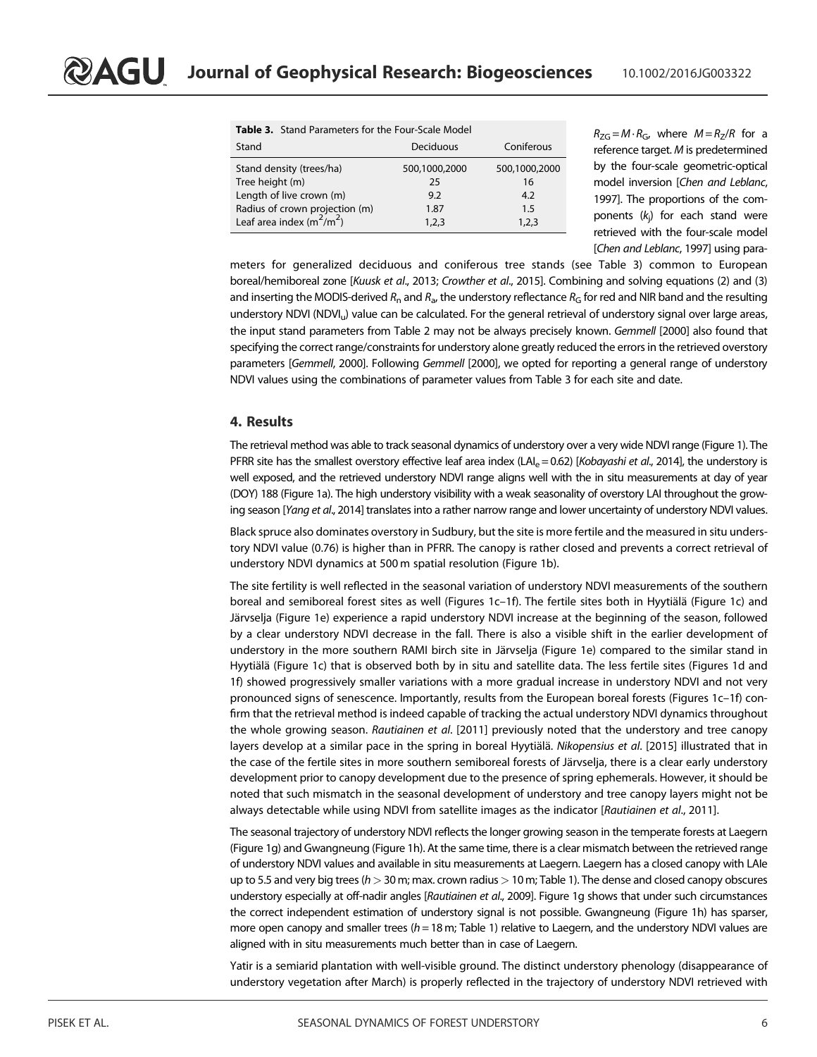|                                                                                                           | Table 3. Stand Parameters for the Four-Scale Model |                                   |  |  |  |  |  |
|-----------------------------------------------------------------------------------------------------------|----------------------------------------------------|-----------------------------------|--|--|--|--|--|
| Stand                                                                                                     | Deciduous                                          | Coniferous                        |  |  |  |  |  |
| Stand density (trees/ha)<br>Tree height (m)<br>Length of live crown (m)<br>Radius of crown projection (m) | 500,1000,2000<br>25<br>9.2<br>1.87                 | 500,1000,2000<br>16<br>4.2<br>1.5 |  |  |  |  |  |
| Leaf area index $(m^2/m^2)$                                                                               | 1,2,3                                              | 1,2,3                             |  |  |  |  |  |

 $R_{\text{ZG}} = M \cdot R_{\text{G}}$ , where  $M = R_{\text{Z}}/R$  for a reference target. M is predetermined by the four-scale geometric-optical model inversion [Chen and Leblanc, 1997]. The proportions of the components (k<sup>j</sup> ) for each stand were retrieved with the four-scale model [Chen and Leblanc, 1997] using para-

meters for generalized deciduous and coniferous tree stands (see Table 3) common to European boreal/hemiboreal zone [Kuusk et al., 2013; Crowther et al., 2015]. Combining and solving equations (2) and (3) and inserting the MODIS-derived  $R_{\rm n}$  and  $R_{\rm a}$ , the understory reflectance  $R_{\rm G}$  for red and NIR band and the resulting understory NDVI (NDVI<sub>u</sub>) value can be calculated. For the general retrieval of understory signal over large areas, the input stand parameters from Table 2 may not be always precisely known. Gemmell [2000] also found that specifying the correct range/constraints for understory alone greatly reduced the errors in the retrieved overstory parameters [Gemmell, 2000]. Following Gemmell [2000], we opted for reporting a general range of understory NDVI values using the combinations of parameter values from Table 3 for each site and date.

#### 4. Results

The retrieval method was able to track seasonal dynamics of understory over a very wide NDVI range (Figure 1). The PFRR site has the smallest overstory effective leaf area index (LAI<sub>e</sub> = 0.62) [Kobayashi et al., 2014], the understory is well exposed, and the retrieved understory NDVI range aligns well with the in situ measurements at day of year (DOY) 188 (Figure 1a). The high understory visibility with a weak seasonality of overstory LAI throughout the growing season [Yang et al., 2014] translates into a rather narrow range and lower uncertainty of understory NDVI values.

Black spruce also dominates overstory in Sudbury, but the site is more fertile and the measured in situ understory NDVI value (0.76) is higher than in PFRR. The canopy is rather closed and prevents a correct retrieval of understory NDVI dynamics at 500 m spatial resolution (Figure 1b).

The site fertility is well reflected in the seasonal variation of understory NDVI measurements of the southern boreal and semiboreal forest sites as well (Figures 1c–1f). The fertile sites both in Hyytiälä (Figure 1c) and Järvselja (Figure 1e) experience a rapid understory NDVI increase at the beginning of the season, followed by a clear understory NDVI decrease in the fall. There is also a visible shift in the earlier development of understory in the more southern RAMI birch site in Järvselja (Figure 1e) compared to the similar stand in Hyytiälä (Figure 1c) that is observed both by in situ and satellite data. The less fertile sites (Figures 1d and 1f) showed progressively smaller variations with a more gradual increase in understory NDVI and not very pronounced signs of senescence. Importantly, results from the European boreal forests (Figures 1c–1f) confirm that the retrieval method is indeed capable of tracking the actual understory NDVI dynamics throughout the whole growing season. Rautiainen et al. [2011] previously noted that the understory and tree canopy layers develop at a similar pace in the spring in boreal Hyytiälä. Nikopensius et al. [2015] illustrated that in the case of the fertile sites in more southern semiboreal forests of Järvselja, there is a clear early understory development prior to canopy development due to the presence of spring ephemerals. However, it should be noted that such mismatch in the seasonal development of understory and tree canopy layers might not be always detectable while using NDVI from satellite images as the indicator [Rautiainen et al., 2011].

The seasonal trajectory of understory NDVI reflects the longer growing season in the temperate forests at Laegern (Figure 1g) and Gwangneung (Figure 1h). At the same time, there is a clear mismatch between the retrieved range of understory NDVI values and available in situ measurements at Laegern. Laegern has a closed canopy with LAIe up to 5.5 and very big trees ( $h>$  30 m; max. crown radius  $>$  10 m; Table 1). The dense and closed canopy obscures understory especially at off-nadir angles [Rautiainen et al., 2009]. Figure 1g shows that under such circumstances the correct independent estimation of understory signal is not possible. Gwangneung (Figure 1h) has sparser, more open canopy and smaller trees ( $h = 18$  m; Table 1) relative to Laegern, and the understory NDVI values are aligned with in situ measurements much better than in case of Laegern.

Yatir is a semiarid plantation with well-visible ground. The distinct understory phenology (disappearance of understory vegetation after March) is properly reflected in the trajectory of understory NDVI retrieved with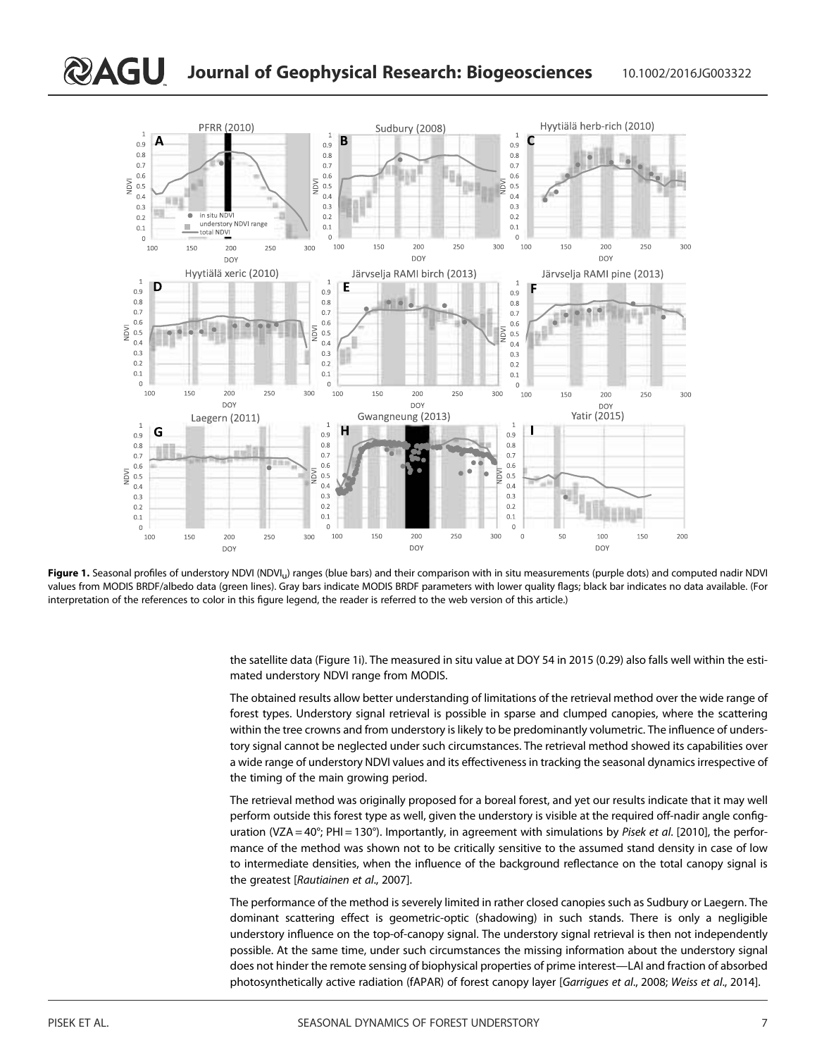

Figure 1. Seasonal profiles of understory NDVI (NDVI<sub>u</sub>) ranges (blue bars) and their comparison with in situ measurements (purple dots) and computed nadir NDVI values from MODIS BRDF/albedo data (green lines). Gray bars indicate MODIS BRDF parameters with lower quality flags; black bar indicates no data available. (For interpretation of the references to color in this figure legend, the reader is referred to the web version of this article.)

the satellite data (Figure 1i). The measured in situ value at DOY 54 in 2015 (0.29) also falls well within the estimated understory NDVI range from MODIS.

The obtained results allow better understanding of limitations of the retrieval method over the wide range of forest types. Understory signal retrieval is possible in sparse and clumped canopies, where the scattering within the tree crowns and from understory is likely to be predominantly volumetric. The influence of understory signal cannot be neglected under such circumstances. The retrieval method showed its capabilities over a wide range of understory NDVI values and its effectiveness in tracking the seasonal dynamics irrespective of the timing of the main growing period.

The retrieval method was originally proposed for a boreal forest, and yet our results indicate that it may well perform outside this forest type as well, given the understory is visible at the required off-nadir angle configuration (VZA =  $40^{\circ}$ ; PHI = 130°). Importantly, in agreement with simulations by Pisek et al. [2010], the performance of the method was shown not to be critically sensitive to the assumed stand density in case of low to intermediate densities, when the influence of the background reflectance on the total canopy signal is the greatest [Rautiainen et al., 2007].

The performance of the method is severely limited in rather closed canopies such as Sudbury or Laegern. The dominant scattering effect is geometric-optic (shadowing) in such stands. There is only a negligible understory influence on the top-of-canopy signal. The understory signal retrieval is then not independently possible. At the same time, under such circumstances the missing information about the understory signal does not hinder the remote sensing of biophysical properties of prime interest—LAI and fraction of absorbed photosynthetically active radiation (fAPAR) of forest canopy layer [Garrigues et al., 2008; Weiss et al., 2014].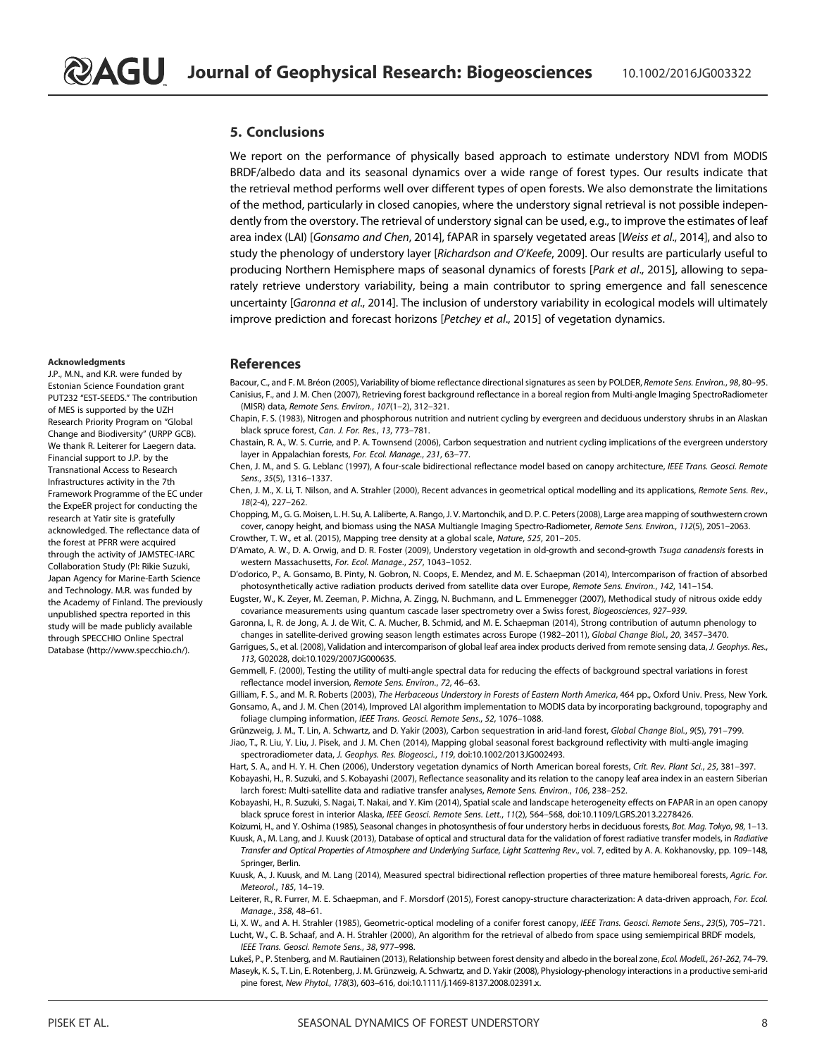#### 5. Conclusions

We report on the performance of physically based approach to estimate understory NDVI from MODIS BRDF/albedo data and its seasonal dynamics over a wide range of forest types. Our results indicate that the retrieval method performs well over different types of open forests. We also demonstrate the limitations of the method, particularly in closed canopies, where the understory signal retrieval is not possible independently from the overstory. The retrieval of understory signal can be used, e.g., to improve the estimates of leaf area index (LAI) [Gonsamo and Chen, 2014], fAPAR in sparsely vegetated areas [Weiss et al., 2014], and also to study the phenology of understory layer [Richardson and O'Keefe, 2009]. Our results are particularly useful to producing Northern Hemisphere maps of seasonal dynamics of forests [Park et al., 2015], allowing to separately retrieve understory variability, being a main contributor to spring emergence and fall senescence uncertainty [Garonna et al., 2014]. The inclusion of understory variability in ecological models will ultimately improve prediction and forecast horizons [Petchey et al., 2015] of vegetation dynamics.

#### References

Bacour, C., and F. M. Bréon (2005), Variability of biome reflectance directional signatures as seen by POLDER, Remote Sens. Environ., 98, 80-95. Canisius, F., and J. M. Chen (2007), Retrieving forest background reflectance in a boreal region from Multi-angle Imaging SpectroRadiometer (MISR) data, Remote Sens. Environ., 107(1–2), 312–321.

Chapin, F. S. (1983), Nitrogen and phosphorous nutrition and nutrient cycling by evergreen and deciduous understory shrubs in an Alaskan black spruce forest, Can. J. For. Res., 13, 773–781.

Chastain, R. A., W. S. Currie, and P. A. Townsend (2006), Carbon sequestration and nutrient cycling implications of the evergreen understory layer in Appalachian forests, For. Ecol. Manage., 231, 63–77.

Chen, J. M., and S. G. Leblanc (1997), A four-scale bidirectional reflectance model based on canopy architecture, IEEE Trans. Geosci. Remote Sens., 35(5), 1316–1337.

Chen, J. M., X. Li, T. Nilson, and A. Strahler (2000), Recent advances in geometrical optical modelling and its applications, Remote Sens. Rev., 18(2-4), 227–262.

Chopping, M., G. G. Moisen, L. H. Su, A. Laliberte, A. Rango, J. V. Martonchik, and D. P. C. Peters (2008), Large area mapping of southwestern crown cover, canopy height, and biomass using the NASA Multiangle Imaging Spectro-Radiometer, Remote Sens. Environ., 112(5), 2051–2063. Crowther, T. W., et al. (2015), Mapping tree density at a global scale, Nature, 525, 201–205.

D'Amato, A. W., D. A. Orwig, and D. R. Foster (2009), Understory vegetation in old-growth and second-growth Tsuga canadensis forests in western Massachusetts, For. Ecol. Manage., 257, 1043–1052.

D'odorico, P., A. Gonsamo, B. Pinty, N. Gobron, N. Coops, E. Mendez, and M. E. Schaepman (2014), Intercomparison of fraction of absorbed photosynthetically active radiation products derived from satellite data over Europe, Remote Sens. Environ., 142, 141-154.

Eugster, W., K. Zeyer, M. Zeeman, P. Michna, A. Zingg, N. Buchmann, and L. Emmenegger (2007), Methodical study of nitrous oxide eddy covariance measurements using quantum cascade laser spectrometry over a Swiss forest, Biogeosciences, 927–939.

Garonna, I., R. de Jong, A. J. de Wit, C. A. Mucher, B. Schmid, and M. E. Schaepman (2014), Strong contribution of autumn phenology to changes in satellite-derived growing season length estimates across Europe (1982–2011), Global Change Biol., 20, 3457–3470.

Garrigues, S., et al. (2008), Validation and intercomparison of global leaf area index products derived from remote sensing data, J. Geophys. Res., 113, G02028, doi:10.1029/2007JG000635.

Gemmell, F. (2000), Testing the utility of multi-angle spectral data for reducing the effects of background spectral variations in forest reflectance model inversion, Remote Sens. Environ., 72, 46–63.

Gilliam, F. S., and M. R. Roberts (2003), The Herbaceous Understory in Forests of Eastern North America, 464 pp., Oxford Univ. Press, New York. Gonsamo, A., and J. M. Chen (2014), Improved LAI algorithm implementation to MODIS data by incorporating background, topography and foliage clumping information, IEEE Trans. Geosci. Remote Sens., 52, 1076–1088.

Grünzweig, J. M., T. Lin, A. Schwartz, and D. Yakir (2003), Carbon sequestration in arid-land forest, Global Change Biol., 9(5), 791–799. Jiao, T., R. Liu, Y. Liu, J. Pisek, and J. M. Chen (2014), Mapping global seasonal forest background reflectivity with multi-angle imaging spectroradiometer data, J. Geophys. Res. Biogeosci., 119, doi:10.1002/2013JG002493.

Hart, S. A., and H. Y. H. Chen (2006), Understory vegetation dynamics of North American boreal forests, Crit. Rev. Plant Sci., 25, 381–397. Kobayashi, H., R. Suzuki, and S. Kobayashi (2007), Reflectance seasonality and its relation to the canopy leaf area index in an eastern Siberian larch forest: Multi-satellite data and radiative transfer analyses, Remote Sens. Environ., 106, 238–252.

Kobayashi, H., R. Suzuki, S. Nagai, T. Nakai, and Y. Kim (2014), Spatial scale and landscape heterogeneity effects on FAPAR in an open canopy black spruce forest in interior Alaska, IEEE Geosci. Remote Sens. Lett., 11(2), 564–568, doi:10.1109/LGRS.2013.2278426.

Koizumi, H., and Y. Oshima (1985), Seasonal changes in photosynthesis of four understory herbs in deciduous forests, Bot. Mag. Tokyo, 98, 1-13. Kuusk, A., M. Lang, and J. Kuusk (2013), Database of optical and structural data for the validation of forest radiative transfer models, in Radiative Transfer and Optical Properties of Atmosphere and Underlying Surface, Light Scattering Rev., vol. 7, edited by A. A. Kokhanovsky, pp. 109–148, Springer, Berlin.

Kuusk, A., J. Kuusk, and M. Lang (2014), Measured spectral bidirectional reflection properties of three mature hemiboreal forests, Agric. For. Meteorol., 185, 14–19.

Leiterer, R., R. Furrer, M. E. Schaepman, and F. Morsdorf (2015), Forest canopy-structure characterization: A data-driven approach, For. Ecol. Manage., 358, 48–61.

Li, X. W., and A. H. Strahler (1985), Geometric-optical modeling of a conifer forest canopy, IEEE Trans. Geosci. Remote Sens., 23(5), 705–721. Lucht, W., C. B. Schaaf, and A. H. Strahler (2000), An algorithm for the retrieval of albedo from space using semiempirical BRDF models, IEEE Trans. Geosci. Remote Sens., 38, 977–998.

Lukeš, P., P. Stenberg, and M. Rautiainen (2013), Relationship between forest density and albedo in the boreal zone, Ecol. Modell., 261-262, 74–79. Maseyk, K. S., T. Lin, E. Rotenberg, J. M. Grünzweig, A. Schwartz, and D. Yakir (2008), Physiology-phenology interactions in a productive semi-arid pine forest, New Phytol., 178(3), 603–616, doi:10.1111/j.1469-8137.2008.02391.x.

#### Acknowledgments

J.P., M.N., and K.R. were funded by Estonian Science Foundation grant PUT232 "EST-SEEDS." The contribution of MES is supported by the UZH Research Priority Program on "Global Change and Biodiversity" (URPP GCB). We thank R. Leiterer for Laegern data. Financial support to J.P. by the Transnational Access to Research Infrastructures activity in the 7th Framework Programme of the EC under the ExpeER project for conducting the research at Yatir site is gratefully acknowledged. The reflectance data of the forest at PFRR were acquired through the activity of JAMSTEC-IARC Collaboration Study (PI: Rikie Suzuki, Japan Agency for Marine-Earth Science and Technology. M.R. was funded by the Academy of Finland. The previously unpublished spectra reported in this study will be made publicly available through SPECCHIO Online Spectral Database (http://www.specchio.ch/).